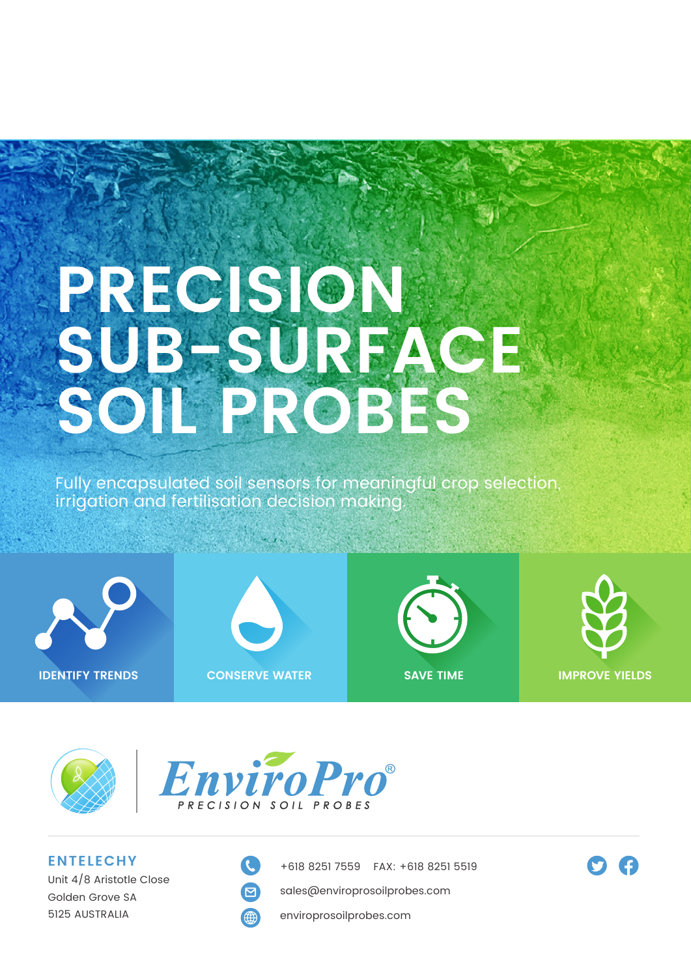# **PRECISION SUB-SURFACE SOIL PROBES**

Fully encapsulated soil sensors for meaningful crop selection, irrigation and fertilisation decision making.









**f** 





**ENTELECHY** Unit 4/8 Aristotle Close Golden Grove SA 5125 AUSTRALIA



+618 8251 7559 FAX: +618 8251 5519

sales@enviroprosoilprobes.com

enviroprosoilprobes.com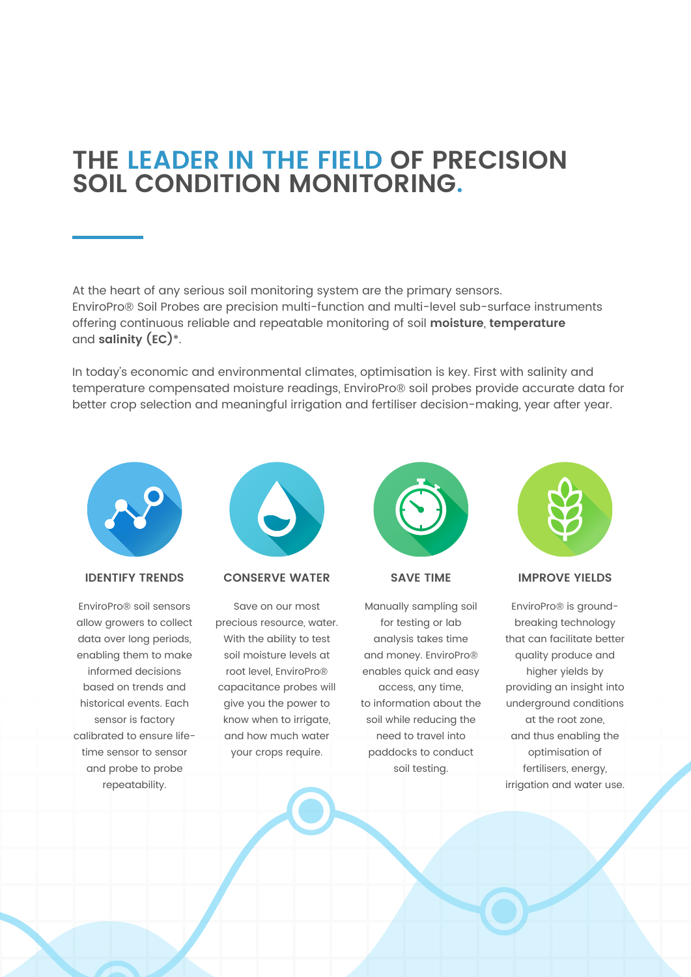# **THE LEADER IN THE FIELD OF PRECISION SOIL CONDITION MONITORING.**

At the heart of any serious soil monitoring system are the primary sensors. EnviroPro® Soil Probes are precision multi-function and multi-level sub-surface instruments offering continuous reliable and repeatable monitoring of soil **moisture**, **temperature** and **salinity (EC)**\*.

In today's economic and environmental climates, optimisation is key. First with salinity and temperature compensated moisture readings, EnviroPro® soil probes provide accurate data for better crop selection and meaningful irrigation and fertiliser decision-making, year after year.



## **IDENTIFY TRENDS**

EnviroPro® soil sensors allow growers to collect data over long periods, enabling them to make informed decisions based on trends and historical events. Each sensor is factory calibrated to ensure lifetime sensor to sensor and probe to probe repeatability.



#### **CONSERVE WATER**

Save on our most precious resource, water. With the ability to test soil moisture levels at root level, EnviroPro® capacitance probes will give you the power to know when to irrigate, and how much water your crops require.



**SAVE TIME**

Manually sampling soil for testing or lab analysis takes time and money. EnviroPro® enables quick and easy access, any time, to information about the soil while reducing the need to travel into paddocks to conduct soil testing.



#### **IMPROVE YIELDS**

EnviroPro® is groundbreaking technology that can facilitate better quality produce and higher yields by providing an insight into underground conditions at the root zone, and thus enabling the optimisation of fertilisers, energy, irrigation and water use.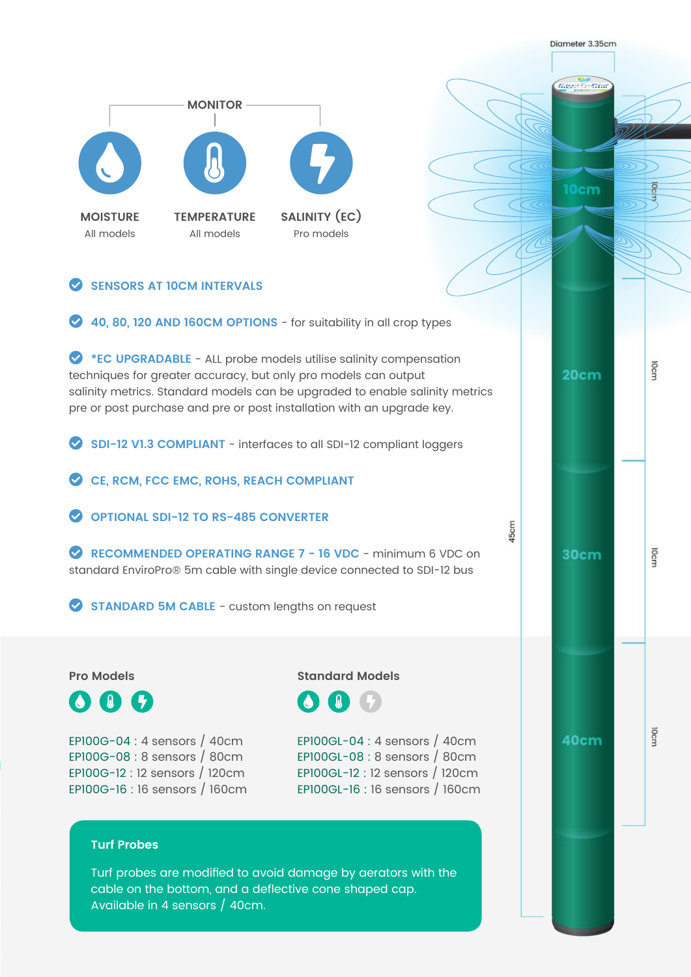**ERNITORES MONITOR 10cm SALINITY (EC) MOISTURE TEMPERATURE** All models All models Pro models **C**SENSORS AT 10CM INTERVALS **2 40, 80, 120 AND 160CM OPTIONS** - for suitability in all crop types **C** \*EC UPGRADABLE - ALL probe models utilise salinity compensation  $20cm$ techniques for greater accuracy, but only pro models can output salinity metrics. Standard models can be upgraded to enable salinity metrics pre or post purchase and pre or post installation with an upgrade key. **C** SDI-12 V1.3 COMPLIANT - interfaces to all SDI-12 compliant loggers CE, RCM, FCC EMC, ROHS, REACH COMPLIANT

Digmeter 3.35cm

IOcm

IOcm

locn

**C** OPTIONAL SDI-12 TO RS-485 CONVERTER

**C** RECOMMENDED OPERATING RANGE 7 - 16 VDC - minimum 6 VDC on standard EnviroPro® 5m cable with single device connected to SDI-12 bus

**C** STANDARD 5M CABLE - custom lengths on request

## **Pro Models**

**OI**&

EP100G-04 : 4 sensors / 40cm EP100G-08 : 8 sensors / 80cm EP100G-12 : 12 sensors / 120cm EP100G-16 : 16 sensors / 160cm **Standard Models**



EP100GL-04 : 4 sensors / 40cm EP100GL-08 : 8 sensors / 80cm EP100GL-12 : 12 sensors / 120cm EP100GL-16 : 16 sensors / 160cm **IScm** 

30cm

40cm

## **Turf Probes**

Turf probes are modified to avoid damage by aerators with the cable on the bottom, and a deflective cone shaped cap. Available in 4 sensors / 40cm.